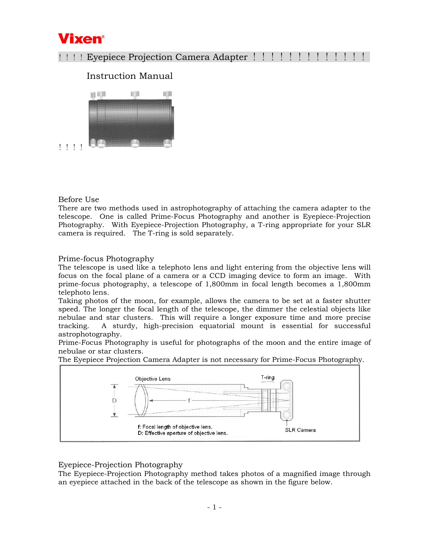

# !!!! Eyepiece Projection Camera Adapter !!!!!!!!!!!!!

# Instruction Manual



## Before Use

There are two methods used in astrophotography of attaching the camera adapter to the telescope. One is called Prime-Focus Photography and another is Eyepiece-Projection Photography. With Eyepiece-Projection Photography, a T-ring appropriate for your SLR camera is required. The T-ring is sold separately.

#### Prime-focus Photography

The telescope is used like a telephoto lens and light entering from the objective lens will focus on the focal plane of a camera or a CCD imaging device to form an image. With prime-focus photography, a telescope of 1,800mm in focal length becomes a 1,800mm telephoto lens.

Taking photos of the moon, for example, allows the camera to be set at a faster shutter speed. The longer the focal length of the telescope, the dimmer the celestial objects like nebulae and star clusters. This will require a longer exposure time and more precise tracking. A sturdy, high-precision equatorial mount is essential for successful astrophotography.

Prime-Focus Photography is useful for photographs of the moon and the entire image of nebulae or star clusters.

The Eyepiece Projection Camera Adapter is not necessary for Prime-Focus Photography.



## Eyepiece-Projection Photography

The Eyepiece-Projection Photography method takes photos of a magnified image through an eyepiece attached in the back of the telescope as shown in the figure below.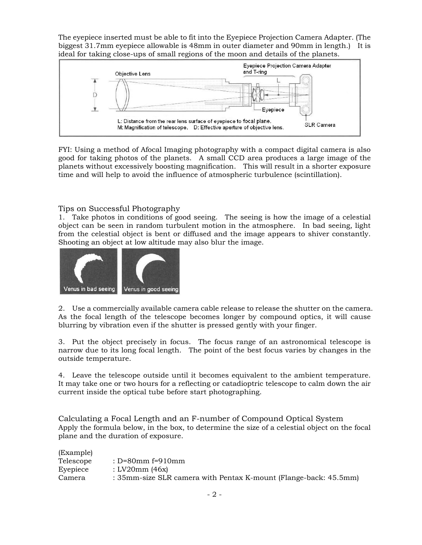The eyepiece inserted must be able to fit into the Eyepiece Projection Camera Adapter. (The biggest 31.7mm eyepiece allowable is 48mm in outer diameter and 90mm in length.) It is ideal for taking close-ups of small regions of the moon and details of the planets.



FYI: Using a method of Afocal Imaging photography with a compact digital camera is also good for taking photos of the planets. A small CCD area produces a large image of the planets without excessively boosting magnification. This will result in a shorter exposure time and will help to avoid the influence of atmospheric turbulence (scintillation).

#### Tips on Successful Photography

1. Take photos in conditions of good seeing. The seeing is how the image of a celestial object can be seen in random turbulent motion in the atmosphere. In bad seeing, light from the celestial object is bent or diffused and the image appears to shiver constantly. Shooting an object at low altitude may also blur the image.



2. Use a commercially available camera cable release to release the shutter on the camera. As the focal length of the telescope becomes longer by compound optics, it will cause blurring by vibration even if the shutter is pressed gently with your finger.

3. Put the object precisely in focus. The focus range of an astronomical telescope is narrow due to its long focal length. The point of the best focus varies by changes in the outside temperature.

4. Leave the telescope outside until it becomes equivalent to the ambient temperature. It may take one or two hours for a reflecting or catadioptric telescope to calm down the air current inside the optical tube before start photographing.

Calculating a Focal Length and an F-number of Compound Optical System Apply the formula below, in the box, to determine the size of a celestial object on the focal plane and the duration of exposure.

| (Example) |                                                                  |
|-----------|------------------------------------------------------------------|
| Telescope | : $D=80$ mm f=910mm                                              |
| Eyepiece  | : LV20mm (46x)                                                   |
| Camera    | : 35mm-size SLR camera with Pentax K-mount (Flange-back: 45.5mm) |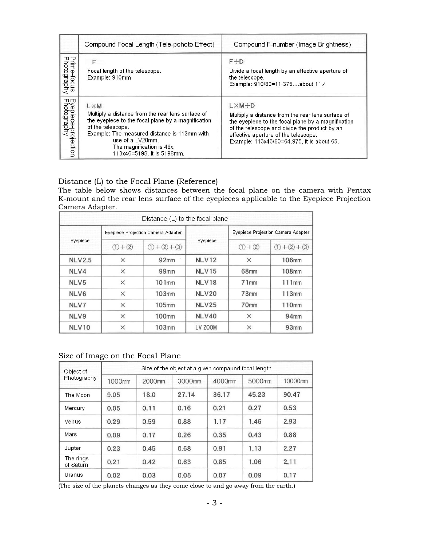|                                    | Compound Focal Length (Tele-pohoto Effect)                                                                                                                                                                                                                                | Compound F-number (Image Brightness)                                                                                                                                                                                                                                  |
|------------------------------------|---------------------------------------------------------------------------------------------------------------------------------------------------------------------------------------------------------------------------------------------------------------------------|-----------------------------------------------------------------------------------------------------------------------------------------------------------------------------------------------------------------------------------------------------------------------|
| Prime-focus<br>Photography         | F<br>Focal length of the telescope.<br>Example: 910mm                                                                                                                                                                                                                     | $F \div D$<br>Divide a focal length by an effective aperture of<br>the telescope.<br>Example: 910/80=11.375about 11.4                                                                                                                                                 |
| Eyepiece-projection<br>Photography | <b>LXM</b><br>Multiply a distance from the rear lens surface of<br>the eyepiece to the focal plane by a magnification<br>of the telescope.<br>Example: The measured distance is 113mm with<br>use of a LV20mm.<br>The magnification is 46x.<br>113x46=5198, it is 5198mm. | $L \times M \div D$<br>Multiply a distance from the rear lens surface of<br>the eyepiece to the focal plane by a magnification<br>of the telescope and divide the product by an<br>effective aperture of the telescope.<br>Example: 113x46/80=64.975, it is about 65. |

## Distance (L) to the Focal Plane (Reference)

The table below shows distances between the focal plane on the camera with Pentax K-mount and the rear lens surface of the eyepieces applicable to the Eyepiece Projection Camera Adapter.

|               |             | Distance (L) to the focal plane           |              |                                           |               |  |
|---------------|-------------|-------------------------------------------|--------------|-------------------------------------------|---------------|--|
| Eyepiece      |             | <b>Eyepiece Projection Camera Adapter</b> | Eyepiece     | <b>Eyepiece Projection Camera Adapter</b> |               |  |
|               | $(1) + (2)$ | $(1) + (2) + (3)$                         |              | $(1) + (2)$                               | $(1 + 2 + 3)$ |  |
| <b>NLV2.5</b> | $\times$    | 92mm                                      | <b>NLV12</b> | $\times$                                  | <b>106mm</b>  |  |
| NLV4          | $\times$    | 99 <sub>mm</sub>                          | <b>NLV15</b> | 68 <sub>mm</sub>                          | <b>108mm</b>  |  |
| NLV5          | $\times$    | 101 <sub>mm</sub>                         | <b>NLV18</b> | 71mm                                      | 111mm         |  |
| NLV6          | $\times$    | 103mm                                     | <b>NLV20</b> | 73mm                                      | 113mm         |  |
| NLV7          | $\times$    | <b>105mm</b>                              | <b>NLV25</b> | 70mm                                      | 110mm         |  |
| NLV9          | $\times$    | 100mm                                     | NLV40        | ×                                         | 94mm          |  |
| NLV10         | $\times$    | <b>103mm</b>                              | LV ZOOM      | $\times$                                  | 93mm          |  |

## Size of Image on the Focal Plane

| Object of<br>Photography | Size of the object at a given compaund focal length |                    |        |        |                    |         |  |  |  |
|--------------------------|-----------------------------------------------------|--------------------|--------|--------|--------------------|---------|--|--|--|
|                          | 1000mm                                              | 2000 <sub>mm</sub> | 3000mm | 4000mm | 5000 <sub>mm</sub> | 10000mm |  |  |  |
| The Moon                 | 9.05                                                | 18.0               | 27.14  | 36.17  | 45.23              | 90.47   |  |  |  |
| Mercury                  | 0.05                                                | 0.11               | 0.16   | 0.21   | 0.27               | 0.53    |  |  |  |
| Venus                    | 0.29                                                | 0.59               | 0.88   | 1.17   | 1.46               | 2.93    |  |  |  |
| Mars                     | 0.09                                                | 0.17               | 0.26   | 0.35   | 0.43               | 0.88    |  |  |  |
| Jupter                   | 0.23                                                | 0.45               | 0.68   | 0.91   | 1.13               | 2.27    |  |  |  |
| The rings<br>of Saturn   | 0.21                                                | 0.42               | 0.63   | 0.85   | 1.06               | 2.11    |  |  |  |
| Uranus                   | 0.02                                                | 0.03               | 0.05   | 0.07   | 0.09               | 0.17    |  |  |  |

(The size of the planets changes as they come close to and go away from the earth.)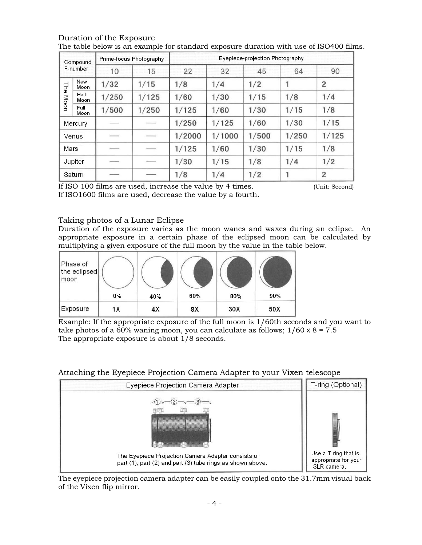| Compound<br>F-number |                    | Prime-focus Photography |       | Eyepiece-projection Photography |        |       |       |                |
|----------------------|--------------------|-------------------------|-------|---------------------------------|--------|-------|-------|----------------|
|                      |                    | 10                      | 15    | 22                              | 32     | 45    | 64    | 90             |
| <b>The</b>           | New<br><b>Moon</b> | 1/32                    | 1/15  | 1/8                             | 1/4    | 1/2   |       | $\overline{2}$ |
| Moon                 | Half<br>Moon       | 1/250                   | 1/125 | 1/60                            | 1/30   | 1/15  | 1/8   | 1/4            |
|                      | Full<br>Moon       | 1/500                   | 1/250 | 1/125                           | 1/60   | 1/30  | 1/15  | 1/8            |
| Mercury              |                    |                         |       | 1/250                           | 1/125  | 1/60  | 1/30  | 1/15           |
| Venus                |                    |                         |       | 1/2000                          | 1/1000 | 1/500 | 1/250 | 1/125          |
| Mars                 |                    |                         |       | 1/125                           | 1/60   | 1/30  | 1/15  | 1/8            |
| Jupiter              |                    |                         |       | 1/30                            | 1/15   | 1/8   | 1/4   | 1/2            |
| Saturn               |                    |                         |       | 1/8                             | 1/4    | 1/2   |       | $\overline{2}$ |

#### Duration of the Exposure The table below is an example for standard exposure duration with use of ISO400 films.

If ISO 100 films are used, increase the value by 4 times. (Unit: Second) If ISO1600 films are used, decrease the value by a fourth.

# Taking photos of a Lunar Eclipse

Duration of the exposure varies as the moon wanes and waxes during an eclipse. An appropriate exposure in a certain phase of the eclipsed moon can be calculated by multiplying a given exposure of the full moon by the value in the table below.

| Phase of<br>the eclipsed<br>moon |    |     |     |     |     |
|----------------------------------|----|-----|-----|-----|-----|
|                                  | 0% | 40% | 60% | 80% | 90% |
| Exposure                         | 1X | 4X  | 8X  | 30X | 50X |

Example: If the appropriate exposure of the full moon is 1/60th seconds and you want to take photos of a 60% waning moon, you can calculate as follows;  $1/60 \times 8 = 7.5$ The appropriate exposure is about 1/8 seconds.

#### T-ring (Optional) Eyepiece Projection Camera Adapter  $\sqrt{2}$  $-(3)$  $(1)$ m Use a T-ring that is The Eyepiece Projection Camera Adapter consists of appropriate for your part (1), part (2) and part (3) tube rings as shown above. SLR camera.

Attaching the Eyepiece Projection Camera Adapter to your Vixen telescope

The eyepiece projection camera adapter can be easily coupled onto the 31.7mm visual back of the Vixen flip mirror.